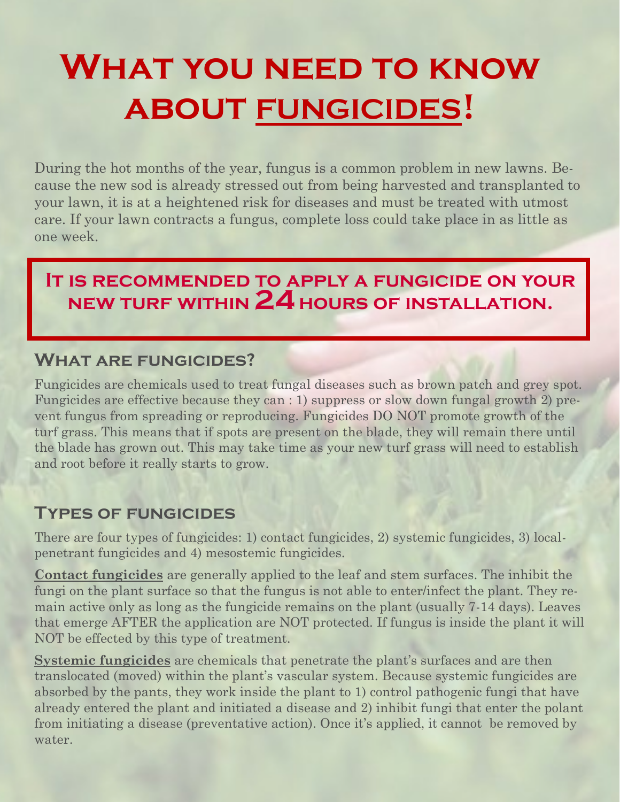# **What you need to know about FUNGICIDES!**

During the hot months of the year, fungus is a common problem in new lawns. Because the new sod is already stressed out from being harvested and transplanted to your lawn, it is at a heightened risk for diseases and must be treated with utmost care. If your lawn contracts a fungus, complete loss could take place in as little as one week.

### **It is recommended to apply a fungicide on your new turf within 24 hours of installation.**

#### **What are fungicides?**

Fungicides are chemicals used to treat fungal diseases such as brown patch and grey spot. Fungicides are effective because they can : 1) suppress or slow down fungal growth 2) prevent fungus from spreading or reproducing. Fungicides DO NOT promote growth of the turf grass. This means that if spots are present on the blade, they will remain there until the blade has grown out. This may take time as your new turf grass will need to establish and root before it really starts to grow.

#### **Types of fungicides**

There are four types of fungicides: 1) contact fungicides, 2) systemic fungicides, 3) localpenetrant fungicides and 4) mesostemic fungicides.

**Contact fungicides** are generally applied to the leaf and stem surfaces. The inhibit the fungi on the plant surface so that the fungus is not able to enter/infect the plant. They remain active only as long as the fungicide remains on the plant (usually 7-14 days). Leaves that emerge AFTER the application are NOT protected. If fungus is inside the plant it will NOT be effected by this type of treatment.

**Systemic fungicides** are chemicals that penetrate the plant's surfaces and are then translocated (moved) within the plant's vascular system. Because systemic fungicides are absorbed by the pants, they work inside the plant to 1) control pathogenic fungi that have already entered the plant and initiated a disease and 2) inhibit fungi that enter the polant from initiating a disease (preventative action). Once it's applied, it cannot be removed by water.